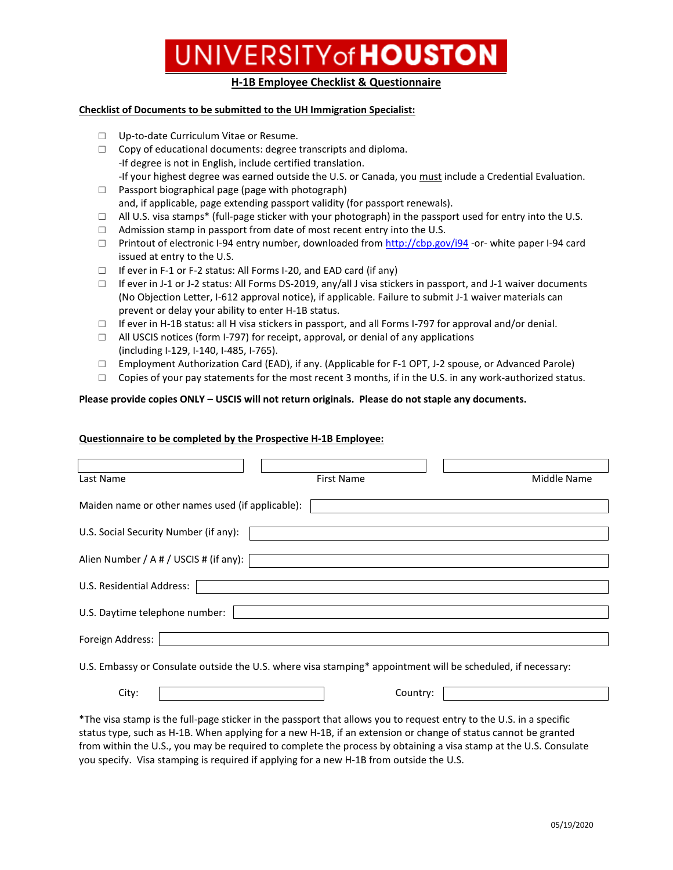# UNIVERSITY of **HOUSTON**

### **H-1B Employee Checklist & Questionnaire**

#### **Checklist of Documents to be submitted to the UH Immigration Specialist:**

- □ Up-to-date Curriculum Vitae or Resume.
- $\Box$  Copy of educational documents: degree transcripts and diploma. -If degree is not in English, include certified translation. -If your highest degree was earned outside the U.S. or Canada, you must include a Credential Evaluation.
- $\Box$  Passport biographical page (page with photograph) and, if applicable, page extending passport validity (for passport renewals).
- $\Box$  All U.S. visa stamps\* (full-page sticker with your photograph) in the passport used for entry into the U.S.
- □ Admission stamp in passport from date of most recent entry into the U.S.
- □ Printout of electronic I-94 entry number, downloaded from<http://cbp.gov/i94> -or- white paper I-94 card issued at entry to the U.S.
- □ If ever in F-1 or F-2 status: All Forms I-20, and EAD card (if any)
- $\Box$  If ever in J-1 or J-2 status: All Forms DS-2019, any/all J visa stickers in passport, and J-1 waiver documents (No Objection Letter, I-612 approval notice), if applicable. Failure to submit J-1 waiver materials can prevent or delay your ability to enter H-1B status.
- □ If ever in H-1B status: all H visa stickers in passport, and all Forms I-797 for approval and/or denial.
- □ All USCIS notices (form I-797) for receipt, approval, or denial of any applications (including I-129, I-140, I-485, I-765).
- □ Employment Authorization Card (EAD), if any. (Applicable for F-1 OPT, J-2 spouse, or Advanced Parole)
- $\Box$  Copies of your pay statements for the most recent 3 months, if in the U.S. in any work-authorized status.

#### **Please provide copies ONLY – USCIS will not return originals. Please do not staple any documents.**

#### **Questionnaire to be completed by the Prospective H-1B Employee:**

| Last Name                                                                                                          | <b>First Name</b> | Middle Name |
|--------------------------------------------------------------------------------------------------------------------|-------------------|-------------|
| Maiden name or other names used (if applicable):                                                                   |                   |             |
| U.S. Social Security Number (if any):                                                                              |                   |             |
| Alien Number / A # / USCIS # (if any):                                                                             |                   |             |
| U.S. Residential Address:                                                                                          |                   |             |
| U.S. Daytime telephone number:                                                                                     |                   |             |
| Foreign Address:                                                                                                   |                   |             |
| U.S. Embassy or Consulate outside the U.S. where visa stamping* appointment will be scheduled, if necessary:       |                   |             |
| City:                                                                                                              | Country:          |             |
| The visa stamp is the full-page sticker in the passport that allows you to request entry to the U.S. in a specific |                   |             |

The visa stamp is the full-page sticker in the passport that allows you to request entry to the U.S. in a specific status type, such as H-1B. When applying for a new H-1B, if an extension or change of status cannot be granted from within the U.S., you may be required to complete the process by obtaining a visa stamp at the U.S. Consulate you specify. Visa stamping is required if applying for a new H-1B from outside the U.S.